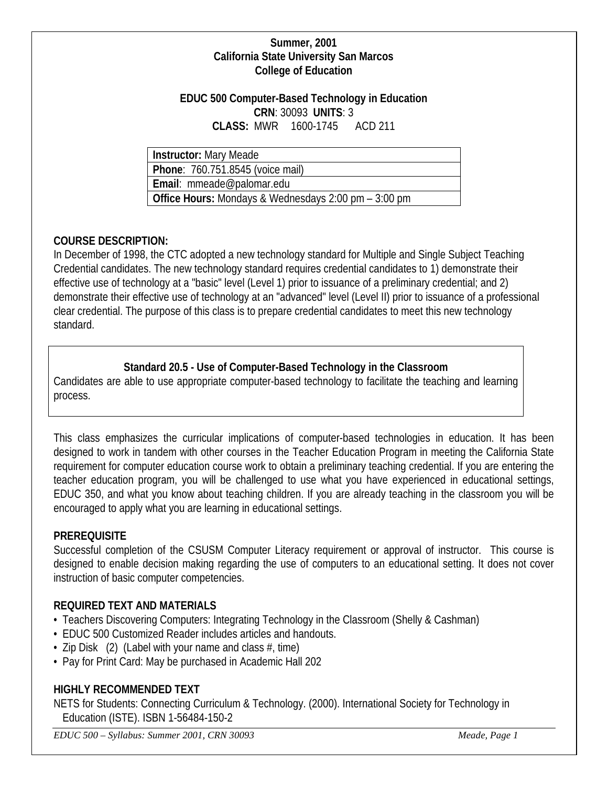#### **Summer, 2001 California State University San Marcos College of Education**

#### **EDUC 500 Computer-Based Technology in Education CRN**: 30093 **UNITS**: 3 **CLASS:** MWR 1600-1745 ACD 211

**Instructor:** Mary Meade

**Phone**: 760.751.8545 (voice mail)

**Email**: mmeade@palomar.edu

**Office Hours:** Mondays & Wednesdays 2:00 pm – 3:00 pm

# **COURSE DESCRIPTION:**

In December of 1998, the CTC adopted a new technology standard for Multiple and Single Subject Teaching Credential candidates. The new technology standard requires credential candidates to 1) demonstrate their effective use of technology at a "basic" level (Level 1) prior to issuance of a preliminary credential; and 2) demonstrate their effective use of technology at an "advanced" level (Level II) prior to issuance of a professional clear credential. The purpose of this class is to prepare credential candidates to meet this new technology standard.

# **Standard 20.5 - Use of Computer-Based Technology in the Classroom**

Candidates are able to use appropriate computer-based technology to facilitate the teaching and learning process.

This class emphasizes the curricular implications of computer-based technologies in education. It has been designed to work in tandem with other courses in the Teacher Education Program in meeting the California State requirement for computer education course work to obtain a preliminary teaching credential. If you are entering the teacher education program, you will be challenged to use what you have experienced in educational settings, EDUC 350, and what you know about teaching children. If you are already teaching in the classroom you will be encouraged to apply what you are learning in educational settings.

# **PREREQUISITE**

Successful completion of the CSUSM Computer Literacy requirement or approval of instructor. This course is designed to enable decision making regarding the use of computers to an educational setting. It does not cover instruction of basic computer competencies.

# **REQUIRED TEXT AND MATERIALS**

- Teachers Discovering Computers: Integrating Technology in the Classroom (Shelly & Cashman)
- EDUC 500 Customized Reader includes articles and handouts.
- Zip Disk  $(2)$  (Label with your name and class  $\#$ , time)
- Pay for Print Card: May be purchased in Academic Hall 202

# **HIGHLY RECOMMENDED TEXT**

NETS for Students: Connecting Curriculum & Technology. (2000). International Society for Technology in Education (ISTE). ISBN 1-56484-150-2

*EDUC 500 – Syllabus: Summer 2001, CRN 30093 Meade, Page 1*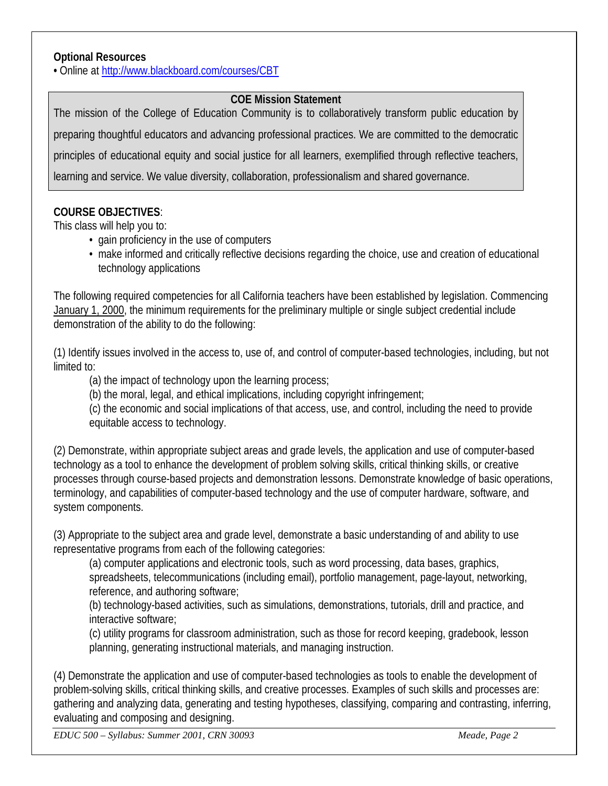#### **Optional Resources**

**•** Online at<http://www.blackboard.com/courses/CBT>

### **COE Mission Statement**

The mission of the College of Education Community is to collaboratively transform public education by preparing thoughtful educators and advancing professional practices. We are committed to the democratic principles of educational equity and social justice for all learners, exemplified through reflective teachers, learning and service. We value diversity, collaboration, professionalism and shared governance.

### **COURSE OBJECTIVES**:

This class will help you to:

- gain proficiency in the use of computers
- make informed and critically reflective decisions regarding the choice, use and creation of educational technology applications

The following required competencies for all California teachers have been established by legislation. Commencing January 1, 2000, the minimum requirements for the preliminary multiple or single subject credential include demonstration of the ability to do the following:

(1) Identify issues involved in the access to, use of, and control of computer-based technologies, including, but not limited to:

(a) the impact of technology upon the learning process;

(b) the moral, legal, and ethical implications, including copyright infringement;

(c) the economic and social implications of that access, use, and control, including the need to provide equitable access to technology.

(2) Demonstrate, within appropriate subject areas and grade levels, the application and use of computer-based technology as a tool to enhance the development of problem solving skills, critical thinking skills, or creative processes through course-based projects and demonstration lessons. Demonstrate knowledge of basic operations, terminology, and capabilities of computer-based technology and the use of computer hardware, software, and system components.

(3) Appropriate to the subject area and grade level, demonstrate a basic understanding of and ability to use representative programs from each of the following categories:

(a) computer applications and electronic tools, such as word processing, data bases, graphics, spreadsheets, telecommunications (including email), portfolio management, page-layout, networking, reference, and authoring software;

(b) technology-based activities, such as simulations, demonstrations, tutorials, drill and practice, and interactive software;

(c) utility programs for classroom administration, such as those for record keeping, gradebook, lesson planning, generating instructional materials, and managing instruction.

(4) Demonstrate the application and use of computer-based technologies as tools to enable the development of problem-solving skills, critical thinking skills, and creative processes. Examples of such skills and processes are: gathering and analyzing data, generating and testing hypotheses, classifying, comparing and contrasting, inferring, evaluating and composing and designing.

*EDUC 500 – Syllabus: Summer 2001, CRN 30093 Meade, Page 2*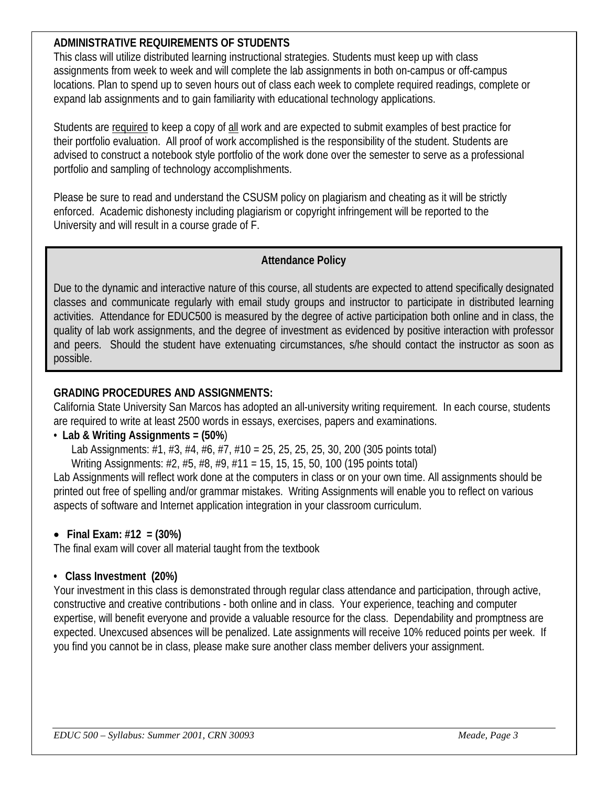# **ADMINISTRATIVE REQUIREMENTS OF STUDENTS**

This class will utilize distributed learning instructional strategies. Students must keep up with class assignments from week to week and will complete the lab assignments in both on-campus or off-campus locations. Plan to spend up to seven hours out of class each week to complete required readings, complete or expand lab assignments and to gain familiarity with educational technology applications.

Students are required to keep a copy of all work and are expected to submit examples of best practice for their portfolio evaluation. All proof of work accomplished is the responsibility of the student. Students are advised to construct a notebook style portfolio of the work done over the semester to serve as a professional portfolio and sampling of technology accomplishments.

Please be sure to read and understand the CSUSM policy on plagiarism and cheating as it will be strictly enforced. Academic dishonesty including plagiarism or copyright infringement will be reported to the University and will result in a course grade of F.

### **Attendance Policy**

Due to the dynamic and interactive nature of this course, all students are expected to attend specifically designated classes and communicate regularly with email study groups and instructor to participate in distributed learning activities. Attendance for EDUC500 is measured by the degree of active participation both online and in class, the quality of lab work assignments, and the degree of investment as evidenced by positive interaction with professor and peers. Should the student have extenuating circumstances, s/he should contact the instructor as soon as possible.

### **GRADING PROCEDURES AND ASSIGNMENTS:**

California State University San Marcos has adopted an all-university writing requirement. In each course, students are required to write at least 2500 words in essays, exercises, papers and examinations.

# • **Lab & Writing Assignments = (50%**)

Lab Assignments: #1, #3, #4, #6, #7, #10 = 25, 25, 25, 25, 30, 200 (305 points total)

Writing Assignments: #2, #5, #8, #9, #11 = 15, 15, 15, 50, 100 (195 points total)

Lab Assignments will reflect work done at the computers in class or on your own time. All assignments should be printed out free of spelling and/or grammar mistakes. Writing Assignments will enable you to reflect on various aspects of software and Internet application integration in your classroom curriculum.

# • **Final Exam: #12 = (30%)**

The final exam will cover all material taught from the textbook

# **• Class Investment (20%)**

Your investment in this class is demonstrated through regular class attendance and participation, through active, constructive and creative contributions - both online and in class. Your experience, teaching and computer expertise, will benefit everyone and provide a valuable resource for the class. Dependability and promptness are expected. Unexcused absences will be penalized. Late assignments will receive 10% reduced points per week. If you find you cannot be in class, please make sure another class member delivers your assignment.